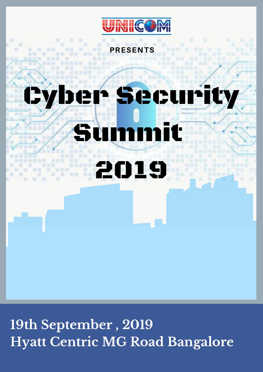

PRESENTS



# Cyber Security Summit

2019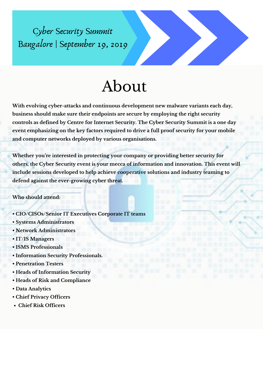#### About

**With evolving cyber-attacks and continuous development new malware variants each day, business should make sure their endpoints are secure by employing the right security controls as defined by Centre for Internet Security. The Cyber Security Summit is a one day event emphasizing on the key factors required to drive a full proof security for your mobile and computer networks deployed by various organisations.**

**Whether you 're interested in protecting your company or providing better security for others, the Cyber Security event is your mecca of information and innovation. This event will include sessions developed to help achieve cooperative solutions and industry teaming to defend against the ever-growing cyber threat.**

**Who should attend:**

- **• CIO/CISOs/Senior IT Executives Corporate IT teams**
- **• Systems Administrators**
- **• Network Administrators**
- **• IT/IS Managers**
- **• ISMS Professionals**
- **• Information Security Professionals.**
- **• Penetration Testers**
- **• Heads of Information Security**
- **• Heads of Risk and Compliance**
- **• Data Analytics**
- **• Chief Privacy Officers**
- **Chief Risk Officers**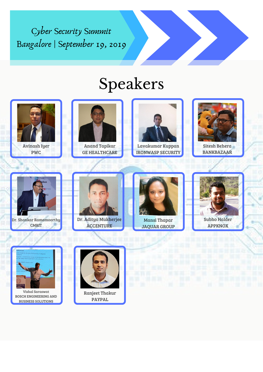### Speakers



Avinash Iyer PWC



Lavakumar Kuppan IRONWASP SECURITY



Anand Tapikar GE HEALTHCARE









**CMRIT** 



**ACCENTURE** 

Sitesh Behera BANKBAZAAR

JAQUAR GROUP



Vishal Saraswat BOSCH ENGINEERING AND BUSINESS SOLUTIONS



Ranjeet Thakur PAYPAL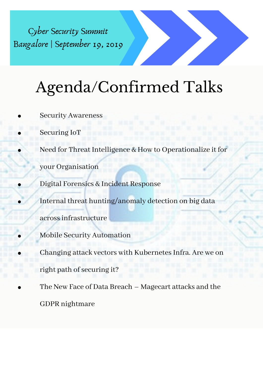## Agenda/Confirmed Talks

Security Awareness

Securing IoT

Need for Threat Intelligence & How to Operationalize it for

your Organisation

Digital Forensics & Incident Response

Internal threat hunting/anomaly detection on big data

acrossinfrastructure

Mobile Security Automation

Changing attack vectors with Kubernetes Infra. Are we on

right path of securing it?

The New Face of Data Breach – Magecart attacks and the

GDPR nightmare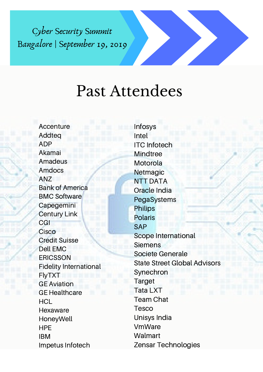#### Past Attendees

Accenture Addteq ADP Akamai Amadeus Amdocs ANZ Bank of America BMC Software Capegemini Century Link CGI **Cisco** Credit Suisse Dell EMC **ERICSSON** Fidelity International FlyTXT GE Aviation GE Healthcare **HCL Hexaware** HoneyWell HPE IBM Impetus Infotech

Infosys Intel ITC Infotech **Mindtree Motorola Netmagic** NTT DATA Oracle India PegaSystems Philips Polaris SAP Scope International **Siemens** Societe Generale State Street Global Advisors **Synechron** Target Tata LXT Team Chat Tesco Unisys India VmWare **Walmart** Zensar Technologies